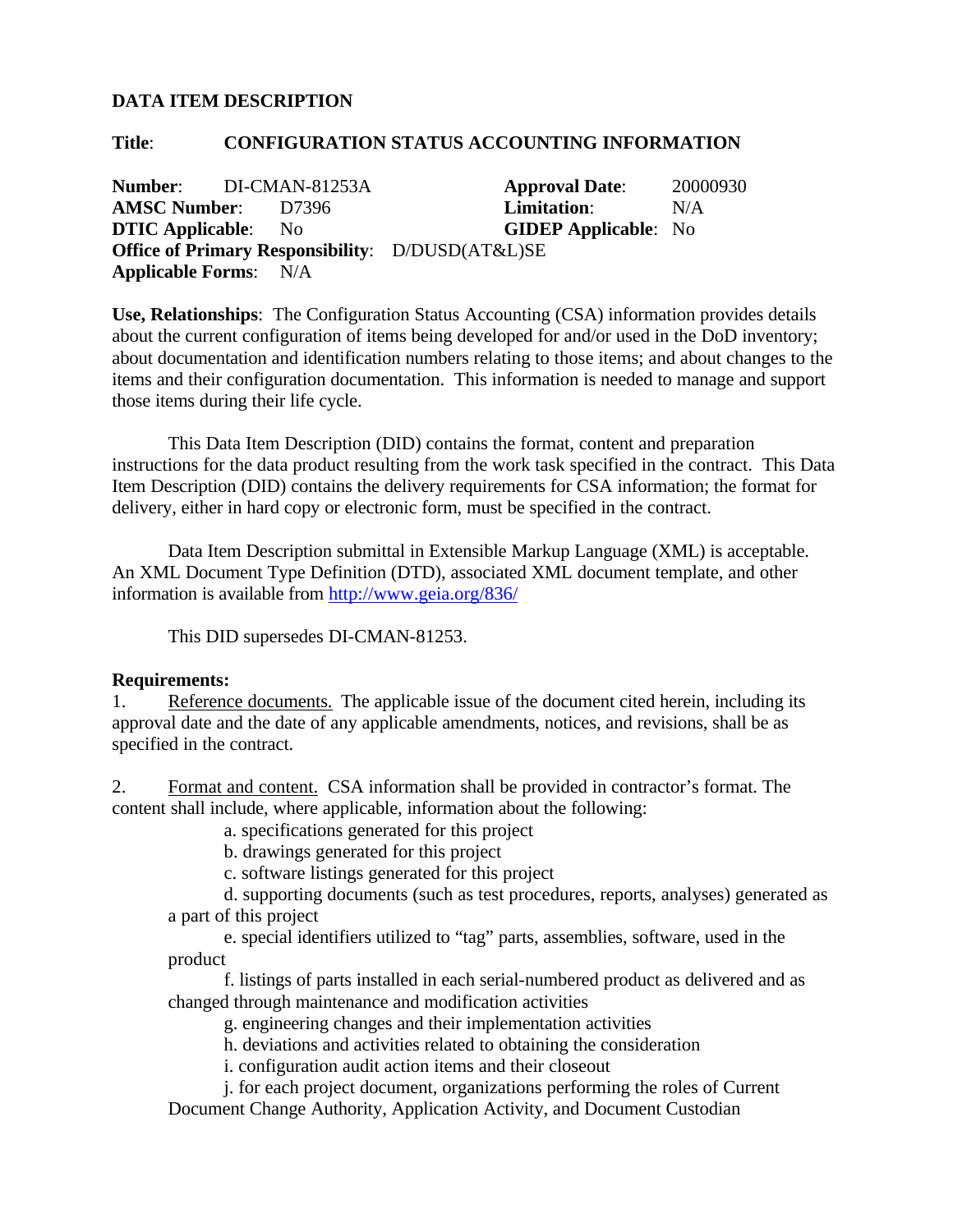## **DATA ITEM DESCRIPTION**

## **Title**: **CONFIGURATION STATUS ACCOUNTING INFORMATION**

**Number:** DI-CMAN-81253A **Approval Date**: 20000930 **AMSC Number**: D7396 **Limitation**: N/A **DTIC Applicable**: No **GIDEP Applicable**: No **Office of Primary Responsibility**: D/DUSD(AT&L)SE **Applicable Forms**: N/A

**Use, Relationships**: The Configuration Status Accounting (CSA) information provides details about the current configuration of items being developed for and/or used in the DoD inventory; about documentation and identification numbers relating to those items; and about changes to the items and their configuration documentation. This information is needed to manage and support those items during their life cycle.

This Data Item Description (DID) contains the format, content and preparation instructions for the data product resulting from the work task specified in the contract. This Data Item Description (DID) contains the delivery requirements for CSA information; the format for delivery, either in hard copy or electronic form, must be specified in the contract.

Data Item Description submittal in Extensible Markup Language (XML) is acceptable. An XML Document Type Definition (DTD), associated XML document template, and other information is available from http://www.geia.org/836/

This DID supersedes DI-CMAN-81253.

## **Requirements:**

1. Reference documents. The applicable issue of the document cited herein, including its approval date and the date of any applicable amendments, notices, and revisions, shall be as specified in the contract.

2. Format and content. CSA information shall be provided in contractor's format. The content shall include, where applicable, information about the following:

a. specifications generated for this project

b. drawings generated for this project

c. software listings generated for this project

d. supporting documents (such as test procedures, reports, analyses) generated as a part of this project

e. special identifiers utilized to "tag" parts, assemblies, software, used in the product

f. listings of parts installed in each serial-numbered product as delivered and as changed through maintenance and modification activities

g. engineering changes and their implementation activities

h. deviations and activities related to obtaining the consideration

i. configuration audit action items and their closeout

j. for each project document, organizations performing the roles of Current Document Change Authority, Application Activity, and Document Custodian